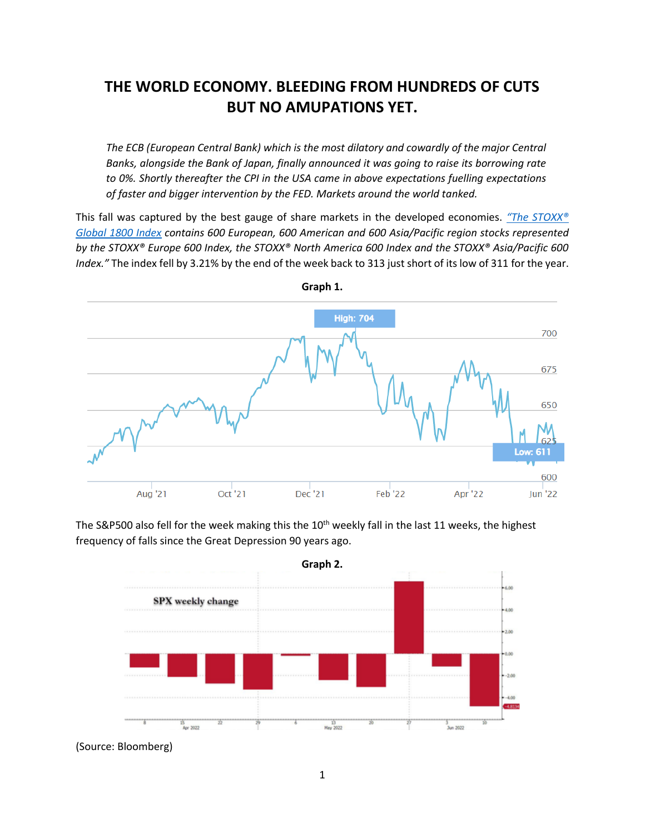# **THE WORLD ECONOMY. BLEEDING FROM HUNDREDS OF CUTS BUT NO AMUPATIONS YET.**

*The ECB (European Central Bank) which is the most dilatory and cowardly of the major Central Banks, alongside the Bank of Japan, finally announced it was going to raise its borrowing rate to 0%. Shortly thereafter the CPI in the USA came in above expectations fuelling expectations of faster and bigger intervention by the FED. Markets around the world tanked.* 

This fall was captured by the best gauge of share markets in the developed economies. *"[The STOXX®](https://www.stoxx.com/index-details?symbol=SXW1E)  [Global 1800 Index](https://www.stoxx.com/index-details?symbol=SXW1E) contains 600 European, 600 American and 600 Asia/Pacific region stocks represented by the STOXX® Europe 600 Index, the STOXX® North America 600 Index and the STOXX® Asia/Pacific 600 Index."* The index fell by 3.21% by the end of the week back to 313 just short of its low of 311 for the year.





The S&P500 also fell for the week making this the 10<sup>th</sup> weekly fall in the last 11 weeks, the highest frequency of falls since the Great Depression 90 years ago.

(Source: Bloomberg)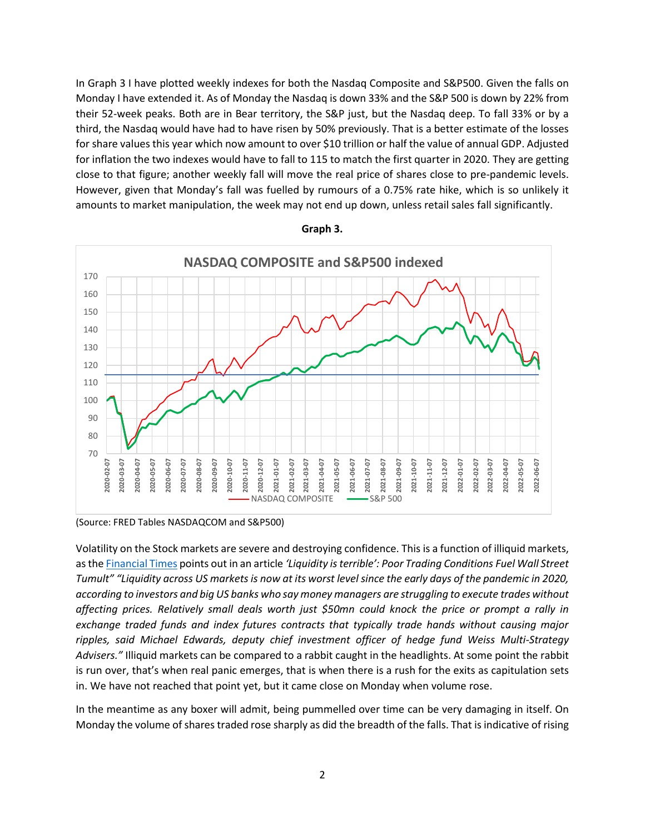In Graph 3 I have plotted weekly indexes for both the Nasdaq Composite and S&P500. Given the falls on Monday I have extended it. As of Monday the Nasdaq is down 33% and the S&P 500 is down by 22% from their 52-week peaks. Both are in Bear territory, the S&P just, but the Nasdaq deep. To fall 33% or by a third, the Nasdaq would have had to have risen by 50% previously. That is a better estimate of the losses for share values this year which now amount to over \$10 trillion or half the value of annual GDP. Adjusted for inflation the two indexes would have to fall to 115 to match the first quarter in 2020. They are getting close to that figure; another weekly fall will move the real price of shares close to pre-pandemic levels. However, given that Monday's fall was fuelled by rumours of a 0.75% rate hike, which is so unlikely it amounts to market manipulation, the week may not end up down, unless retail sales fall significantly.



**Graph 3.**

(Source: FRED Tables NASDAQCOM and S&P500)

Volatility on the Stock markets are severe and destroying confidence. This is a function of illiquid markets, as th[e Financial Times](https://www.ft.com/content/cbc47bbf-f158-4330-9e29-5b0b71935140) points out in an article *'Liquidity is terrible': Poor Trading Conditions Fuel Wall Street Tumult" "Liquidity across US markets is now at its worst level since the early days of the pandemic in 2020, according to investors and big US banks who say money managers are struggling to execute trades without affecting prices. Relatively small deals worth just \$50mn could knock the price or prompt a rally in exchange traded funds and index futures contracts that typically trade hands without causing major ripples, said Michael Edwards, deputy chief investment officer of hedge fund Weiss Multi-Strategy Advisers."* Illiquid markets can be compared to a rabbit caught in the headlights. At some point the rabbit is run over, that's when real panic emerges, that is when there is a rush for the exits as capitulation sets in. We have not reached that point yet, but it came close on Monday when volume rose.

In the meantime as any boxer will admit, being pummelled over time can be very damaging in itself. On Monday the volume of shares traded rose sharply as did the breadth of the falls. That is indicative of rising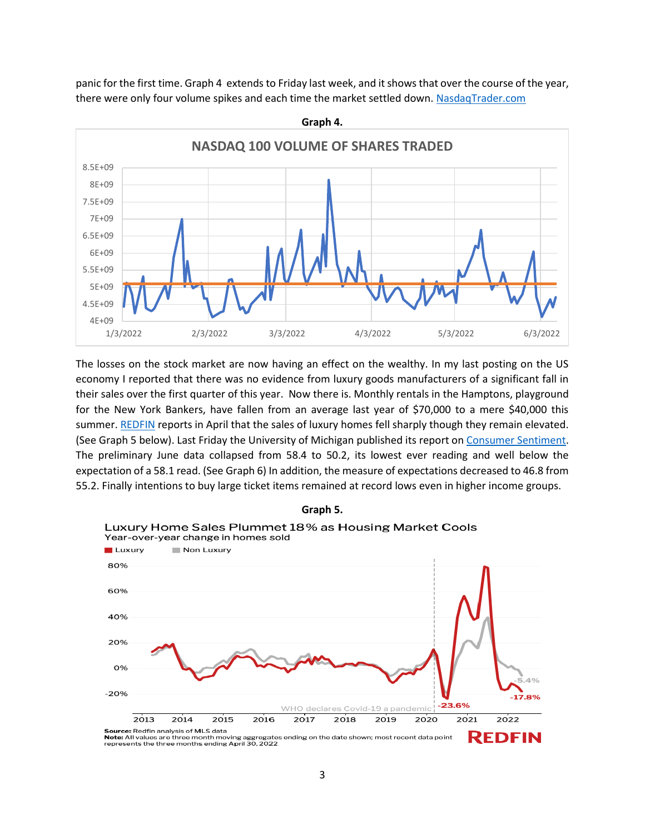panic for the first time. Graph 4 extends to Friday last week, and it shows that over the course of the year, there were only four volume spikes and each time the market settled down. [NasdaqTrader.com](http://nasdaqtrader.com/Trader.aspx?id=DailyMarketFiles)



The losses on the stock market are now having an effect on the wealthy. In my last posting on the US economy I reported that there was no evidence from luxury goods manufacturers of a significant fall in their sales over the first quarter of this year. Now there is. Monthly rentals in the Hamptons, playground for the New York Bankers, have fallen from an average last year of \$70,000 to a mere \$40,000 this summer. [REDFIN](https://www.redfin.com/news/luxury-home-sales-april-2022/) reports in April that the sales of luxury homes fell sharply though they remain elevated. (See Graph 5 below). Last Friday the University of Michigan published its report on [Consumer Sentiment.](https://finance.yahoo.com/video/consumer-sentiment-deteriorated-may-amid-142109138.html) The preliminary June data collapsed from 58.4 to 50.2, its lowest ever reading and well below the expectation of a 58.1 read. (See Graph 6) In addition, the measure of expectations decreased to 46.8 from 55.2. Finally intentions to buy large ticket items remained at record lows even in higher income groups.



3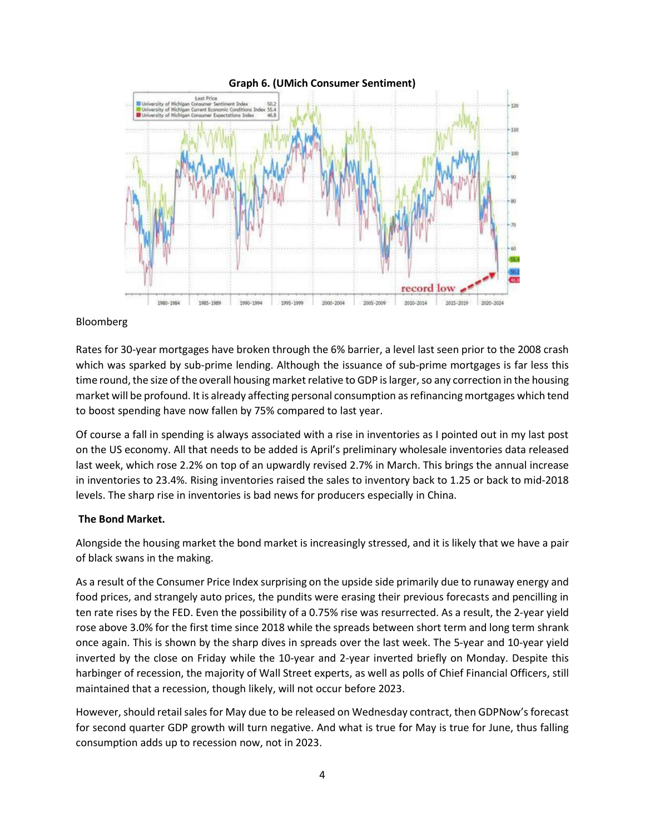

## Bloomberg

Rates for 30-year mortgages have broken through the 6% barrier, a level last seen prior to the 2008 crash which was sparked by sub-prime lending. Although the issuance of sub-prime mortgages is far less this time round, the size of the overall housing market relative to GDP is larger, so any correction in the housing market will be profound. It is already affecting personal consumption as refinancing mortgages which tend to boost spending have now fallen by 75% compared to last year.

Of course a fall in spending is always associated with a rise in inventories as I pointed out in my last post on the US economy. All that needs to be added is April's preliminary wholesale inventories data released last week, which rose 2.2% on top of an upwardly revised 2.7% in March. This brings the annual increase in inventories to 23.4%. Rising inventories raised the sales to inventory back to 1.25 or back to mid-2018 levels. The sharp rise in inventories is bad news for producers especially in China.

## **The Bond Market.**

Alongside the housing market the bond market is increasingly stressed, and it is likely that we have a pair of black swans in the making.

As a result of the Consumer Price Index surprising on the upside side primarily due to runaway energy and food prices, and strangely auto prices, the pundits were erasing their previous forecasts and pencilling in ten rate rises by the FED. Even the possibility of a 0.75% rise was resurrected. As a result, the 2-year yield rose above 3.0% for the first time since 2018 while the spreads between short term and long term shrank once again. This is shown by the sharp dives in spreads over the last week. The 5-year and 10-year yield inverted by the close on Friday while the 10-year and 2-year inverted briefly on Monday. Despite this harbinger of recession, the majority of Wall Street experts, as well as polls of Chief Financial Officers, still maintained that a recession, though likely, will not occur before 2023.

However, should retail sales for May due to be released on Wednesday contract, then GDPNow's forecast for second quarter GDP growth will turn negative. And what is true for May is true for June, thus falling consumption adds up to recession now, not in 2023.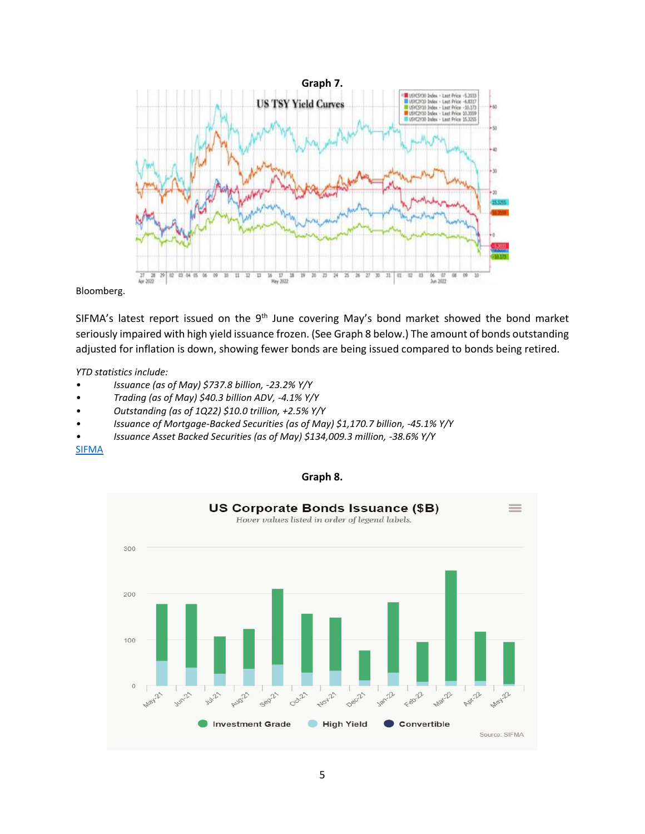

Bloomberg.

SIFMA's latest report issued on the  $9<sup>th</sup>$  June covering May's bond market showed the bond market seriously impaired with high yield issuance frozen. (See Graph 8 below.) The amount of bonds outstanding adjusted for inflation is down, showing fewer bonds are being issued compared to bonds being retired.

*YTD statistics include:*

- *• Issuance (as of May) \$737.8 billion, -23.2% Y/Y*
- *• Trading (as of May) \$40.3 billion ADV, -4.1% Y/Y*
- *• Outstanding (as of 1Q22) \$10.0 trillion, +2.5% Y/Y*
- *• Issuance of Mortgage-Backed Securities (as of May) \$1,170.7 billion, -45.1% Y/Y*
- *• Issuance Asset Backed Securities (as of May) \$134,009.3 million, -38.6% Y/Y*

### [SIFMA](https://www.sifma.org/resources/research/us-corporate-bonds-statistics/)



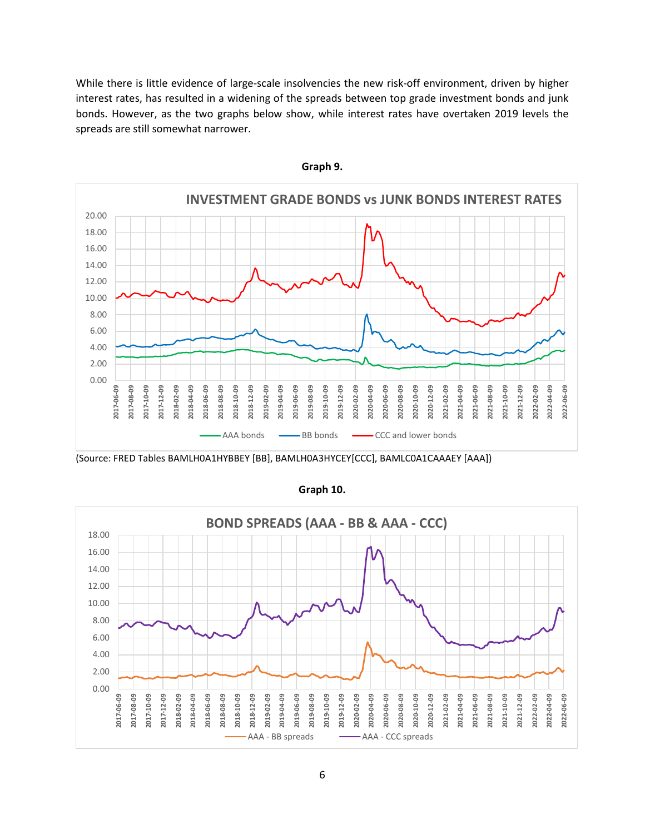While there is little evidence of large-scale insolvencies the new risk-off environment, driven by higher interest rates, has resulted in a widening of the spreads between top grade investment bonds and junk bonds. However, as the two graphs below show, while interest rates have overtaken 2019 levels the spreads are still somewhat narrower.



**Graph 9.**

(Source: FRED Tables BAMLH0A1HYBBEY [BB], BAMLH0A3HYCEY[CCC], BAMLC0A1CAAAEY [AAA])



**Graph 10.**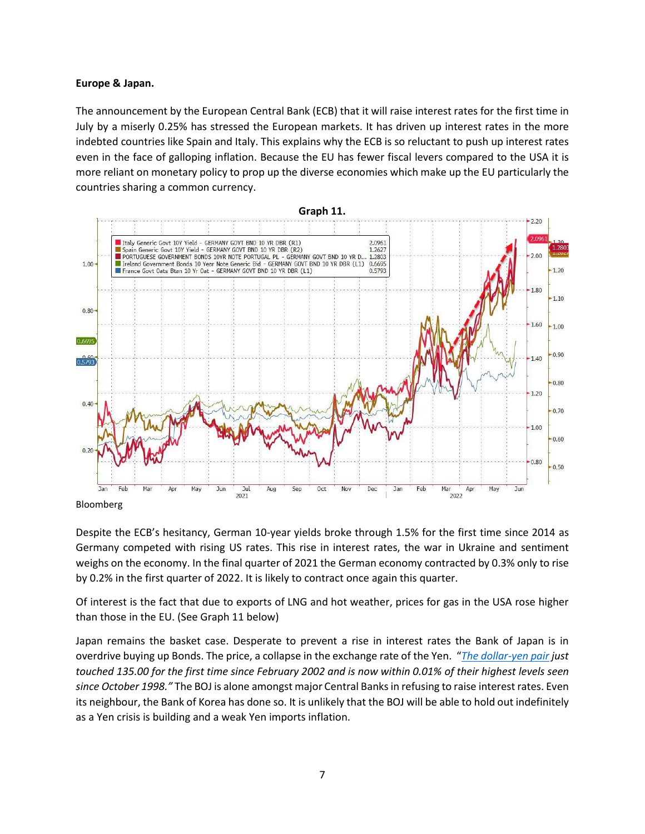### **Europe & Japan.**

The announcement by the European Central Bank (ECB) that it will raise interest rates for the first time in July by a miserly 0.25% has stressed the European markets. It has driven up interest rates in the more indebted countries like Spain and Italy. This explains why the ECB is so reluctant to push up interest rates even in the face of galloping inflation. Because the EU has fewer fiscal levers compared to the USA it is more reliant on monetary policy to prop up the diverse economies which make up the EU particularly the countries sharing a common currency.



Bloomberg

Despite the ECB's hesitancy, German 10-year yields broke through 1.5% for the first time since 2014 as Germany competed with rising US rates. This rise in interest rates, the war in Ukraine and sentiment weighs on the economy. In the final quarter of 2021 the German economy contracted by 0.3% only to rise by 0.2% in the first quarter of 2022. It is likely to contract once again this quarter.

Of interest is the fact that due to exports of LNG and hot weather, prices for gas in the USA rose higher than those in the EU. (See Graph 11 below)

Japan remains the basket case. Desperate to prevent a rise in interest rates the Bank of Japan is in overdrive buying up Bonds. The price, a collapse in the exchange rate of the Yen. "*[The dollar-yen pair](https://www.msn.com/en-us/money/markets/chart-of-the-day-japanese-yen-nearing-24-year-low-more-weakness-ahead/ar-AAYpeT0?ocid=uxbndlbing) just touched 135.00 for the first time since February 2002 and is now within 0.01% of their highest levels seen since October 1998."* The BOJ is alone amongst major Central Banks in refusing to raise interest rates. Even its neighbour, the Bank of Korea has done so. It is unlikely that the BOJ will be able to hold out indefinitely as a Yen crisis is building and a weak Yen imports inflation.